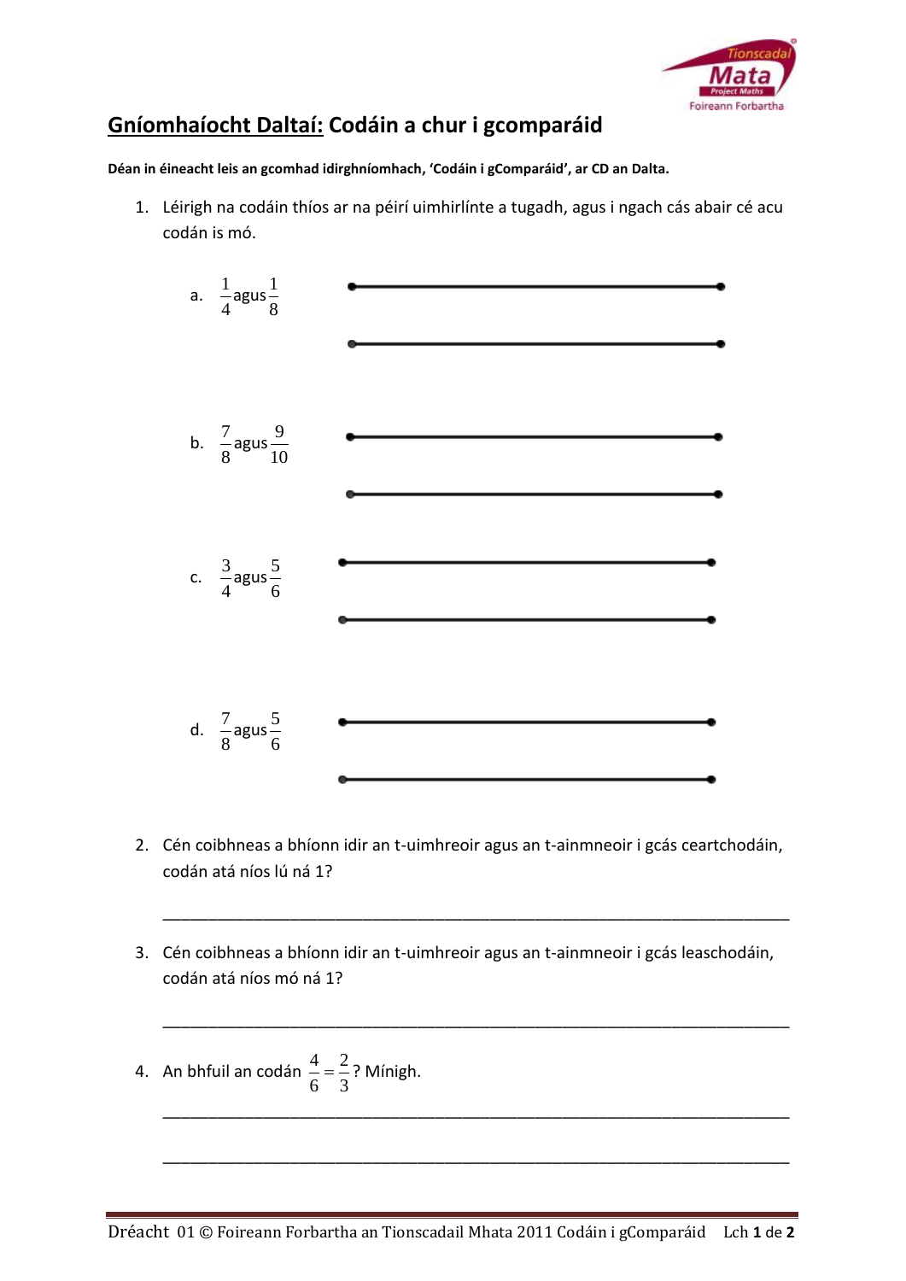

## **Gníomhaíocht Daltaí: Codáin a chur i gcomparáid**

**Déan in éineacht leis an gcomhad idirghníomhach, 'Codáin i gComparáid', ar CD an Dalta.**

1. Léirigh na codáin thíos ar na péirí uimhirlínte a tugadh, agus i ngach cás abair cé acu codán is mó.



2. Cén coibhneas a bhíonn idir an t-uimhreoir agus an t-ainmneoir i gcás ceartchodáin, codán atá níos lú ná 1?

\_\_\_\_\_\_\_\_\_\_\_\_\_\_\_\_\_\_\_\_\_\_\_\_\_\_\_\_\_\_\_\_\_\_\_\_\_\_\_\_\_\_\_\_\_\_\_\_\_\_\_\_\_\_\_\_\_\_\_\_\_\_\_\_\_\_\_\_\_

\_\_\_\_\_\_\_\_\_\_\_\_\_\_\_\_\_\_\_\_\_\_\_\_\_\_\_\_\_\_\_\_\_\_\_\_\_\_\_\_\_\_\_\_\_\_\_\_\_\_\_\_\_\_\_\_\_\_\_\_\_\_\_\_\_\_\_\_\_

\_\_\_\_\_\_\_\_\_\_\_\_\_\_\_\_\_\_\_\_\_\_\_\_\_\_\_\_\_\_\_\_\_\_\_\_\_\_\_\_\_\_\_\_\_\_\_\_\_\_\_\_\_\_\_\_\_\_\_\_\_\_\_\_\_\_\_\_\_

\_\_\_\_\_\_\_\_\_\_\_\_\_\_\_\_\_\_\_\_\_\_\_\_\_\_\_\_\_\_\_\_\_\_\_\_\_\_\_\_\_\_\_\_\_\_\_\_\_\_\_\_\_\_\_\_\_\_\_\_\_\_\_\_\_\_\_\_\_

- 3. Cén coibhneas a bhíonn idir an t-uimhreoir agus an t-ainmneoir i gcás leaschodáin, codán atá níos mó ná 1?
- 4. An bhfuil an codán  $\frac{4}{5} = \frac{2}{3}$ 6 3  $=\frac{2}{3}$ ? Mínigh.